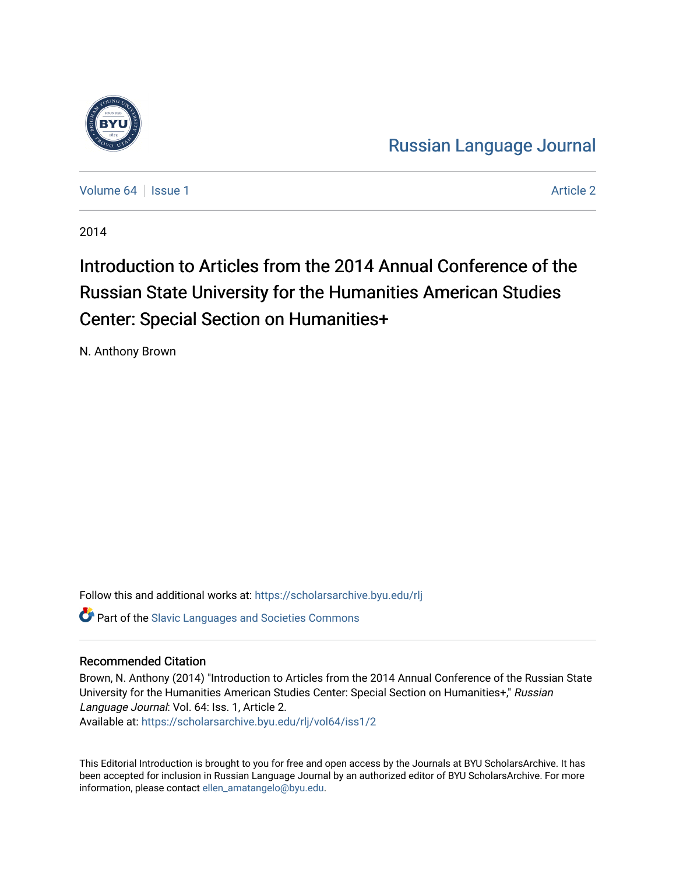

[Russian Language Journal](https://scholarsarchive.byu.edu/rlj) 

[Volume 64](https://scholarsarchive.byu.edu/rlj/vol64) | [Issue 1](https://scholarsarchive.byu.edu/rlj/vol64/iss1) [Article 2](https://scholarsarchive.byu.edu/rlj/vol64/iss1/2) Article 2 Article 2 Article 2 Article 2 Article 2 Article 2 Article 2 Article 2

2014

## Introduction to Articles from the 2014 Annual Conference of the Russian State University for the Humanities American Studies Center: Special Section on Humanities+

N. Anthony Brown

Follow this and additional works at: [https://scholarsarchive.byu.edu/rlj](https://scholarsarchive.byu.edu/rlj?utm_source=scholarsarchive.byu.edu%2Frlj%2Fvol64%2Fiss1%2F2&utm_medium=PDF&utm_campaign=PDFCoverPages)

**C** Part of the Slavic Languages and Societies Commons

## Recommended Citation

Brown, N. Anthony (2014) "Introduction to Articles from the 2014 Annual Conference of the Russian State University for the Humanities American Studies Center: Special Section on Humanities+," Russian Language Journal: Vol. 64: Iss. 1, Article 2.

Available at: [https://scholarsarchive.byu.edu/rlj/vol64/iss1/2](https://scholarsarchive.byu.edu/rlj/vol64/iss1/2?utm_source=scholarsarchive.byu.edu%2Frlj%2Fvol64%2Fiss1%2F2&utm_medium=PDF&utm_campaign=PDFCoverPages) 

This Editorial Introduction is brought to you for free and open access by the Journals at BYU ScholarsArchive. It has been accepted for inclusion in Russian Language Journal by an authorized editor of BYU ScholarsArchive. For more information, please contact [ellen\\_amatangelo@byu.edu.](mailto:ellen_amatangelo@byu.edu)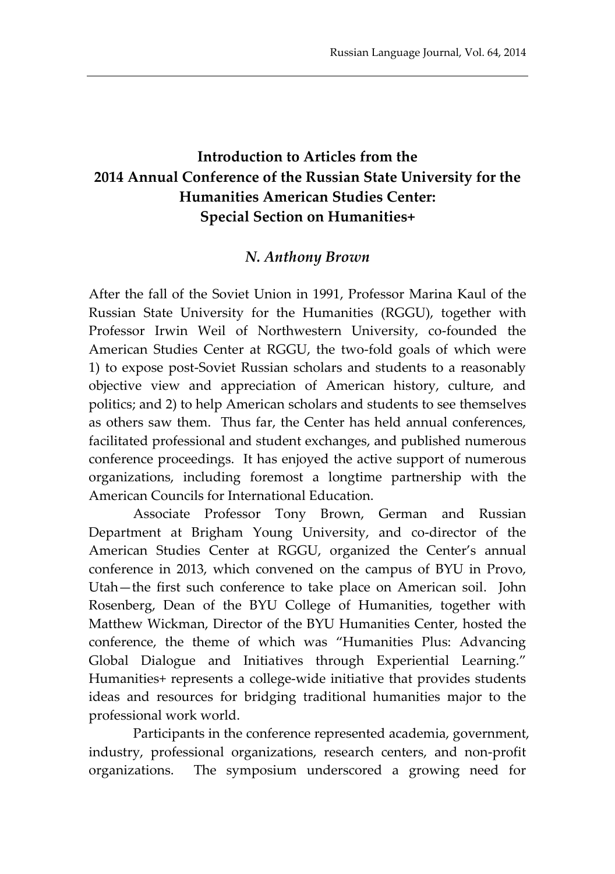## **Introduction to Articles from the 2014 Annual Conference of the Russian State University for the Humanities American Studies Center: Special Section on Humanities+**

## *N. Anthony Brown*

After the fall of the Soviet Union in 1991, Professor Marina Kaul of the Russian State University for the Humanities (RGGU), together with Professor Irwin Weil of Northwestern University, co-founded the American Studies Center at RGGU, the two-fold goals of which were 1) to expose post-Soviet Russian scholars and students to a reasonably objective view and appreciation of American history, culture, and politics; and 2) to help American scholars and students to see themselves as others saw them. Thus far, the Center has held annual conferences, facilitated professional and student exchanges, and published numerous conference proceedings. It has enjoyed the active support of numerous organizations, including foremost a longtime partnership with the American Councils for International Education.

Associate Professor Tony Brown, German and Russian Department at Brigham Young University, and co-director of the American Studies Center at RGGU, organized the Center's annual conference in 2013, which convened on the campus of BYU in Provo, Utah—the first such conference to take place on American soil. John Rosenberg, Dean of the BYU College of Humanities, together with Matthew Wickman, Director of the BYU Humanities Center, hosted the conference, the theme of which was "Humanities Plus: Advancing Global Dialogue and Initiatives through Experiential Learning." Humanities+ represents a college-wide initiative that provides students ideas and resources for bridging traditional humanities major to the professional work world.

Participants in the conference represented academia, government, industry, professional organizations, research centers, and non-profit organizations. The symposium underscored a growing need for